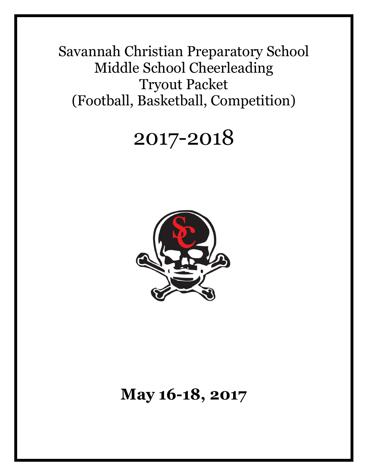Savannah Christian Preparatory School Middle School Cheerleading Tryout Packet (Football, Basketball, Competition)

# 2017-2018



# **May 16-18, 2017**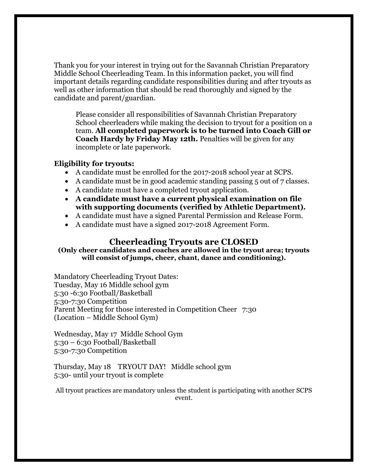Thank you for your interest in trying out for the Savannah Christian Preparatory Middle School Cheerleading Team. In this information packet, you will find important details regarding candidate responsibilities during and after tryouts as well as other information that should be read thoroughly and signed by the candidate and parent/guardian.

Please consider all responsibilities of Savannah Christian Preparatory School cheerleaders while making the decision to tryout for a position on a team. **All completed paperwork is to be turned into Coach Gill or Coach Hardy by Friday May 12th.** Penalties will be given for any incomplete or late paperwork.

#### **Eligibility for tryouts:**

- A candidate must be enrolled for the 2017-2018 school year at SCPS.
- A candidate must be in good academic standing passing 5 out of 7 classes.
- A candidate must have a completed tryout application.
- **A candidate must have a current physical examination on file with supporting documents (verified by Athletic Department).**
- A candidate must have a signed Parental Permission and Release Form.
- A candidate must have a signed 2017-2018 Agreement Form.

#### **Cheerleading Tryouts are CLOSED**

**(Only cheer candidates and coaches are allowed in the tryout area; tryouts will consist of jumps, cheer, chant, dance and conditioning).**

Mandatory Cheerleading Tryout Dates: Tuesday, May 16 Middle school gym 5:30 -6:30 Football/Basketball 5:30-7:30 Competition Parent Meeting for those interested in Competition Cheer 7:30 (Location – Middle School Gym)

Wednesday, May 17 Middle School Gym 5:30 – 6:30 Football/Basketball 5:30-7:30 Competition

Thursday, May 18 TRYOUT DAY! Middle school gym 5:30- until your tryout is complete

All tryout practices are mandatory unless the student is participating with another SCPS event.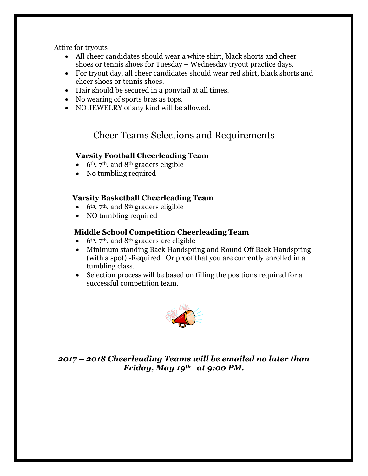Attire for tryouts

- All cheer candidates should wear a white shirt, black shorts and cheer shoes or tennis shoes for Tuesday – Wednesday tryout practice days.
- For tryout day, all cheer candidates should wear red shirt, black shorts and cheer shoes or tennis shoes.
- Hair should be secured in a ponytail at all times.
- No wearing of sports bras as tops.
- NO JEWELRY of any kind will be allowed.

### Cheer Teams Selections and Requirements

#### **Varsity Football Cheerleading Team**

- $\bullet$  6<sup>th</sup>, 7<sup>th</sup>, and 8<sup>th</sup> graders eligible
- No tumbling required

#### **Varsity Basketball Cheerleading Team**

- $\bullet$  6<sup>th</sup>, 7<sup>th</sup>, and 8<sup>th</sup> graders eligible
- NO tumbling required

#### **Middle School Competition Cheerleading Team**

- $\bullet$  6<sup>th</sup>, 7<sup>th</sup>, and 8<sup>th</sup> graders are eligible
- Minimum standing Back Handspring and Round Off Back Handspring (with a spot) -Required Or proof that you are currently enrolled in a tumbling class.
- Selection process will be based on filling the positions required for a successful competition team.



*2017 – 2018 Cheerleading Teams will be emailed no later than Friday, May 19th at 9:00 PM.*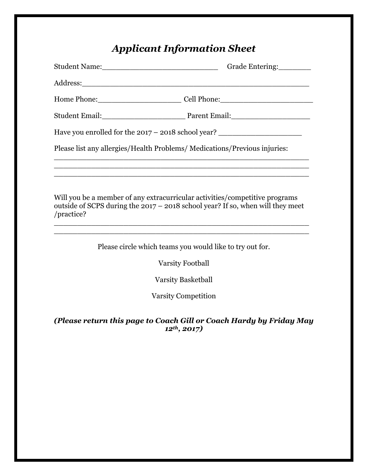# *Applicant Information Sheet*

|                      | Student Name: Grade Entering:                                                                                                                                                                                                                                                            |
|----------------------|------------------------------------------------------------------------------------------------------------------------------------------------------------------------------------------------------------------------------------------------------------------------------------------|
|                      |                                                                                                                                                                                                                                                                                          |
|                      | Home Phone: Cell Phone: Cell Phone:                                                                                                                                                                                                                                                      |
|                      | Student Email: Parent Email:                                                                                                                                                                                                                                                             |
|                      | Have you enrolled for the 2017 - 2018 school year? _____________________________                                                                                                                                                                                                         |
|                      | Please list any allergies/Health Problems/Medications/Previous injuries:                                                                                                                                                                                                                 |
|                      | <u> 1989 - Johann Barn, amerikan bernama di sebagai bernama dalam bernama dalam bernama dalam bernama dalam bern</u>                                                                                                                                                                     |
| /practice?           | Will you be a member of any extracurricular activities/competitive programs<br>outside of SCPS during the $2017 - 2018$ school year? If so, when will they meet<br><u> 1989 - Johann Barn, amerikan bernama di sebagai bernama di sebagai bernama di sebagai bernama di sebagai bern</u> |
|                      | Please circle which teams you would like to try out for.                                                                                                                                                                                                                                 |
|                      | <b>Varsity Football</b>                                                                                                                                                                                                                                                                  |
|                      | <b>Varsity Basketball</b>                                                                                                                                                                                                                                                                |
|                      | <b>Varsity Competition</b>                                                                                                                                                                                                                                                               |
| $12^{th}$ , $2017$ ) | (Please return this page to Coach Gill or Coach Hardy by Friday May                                                                                                                                                                                                                      |
|                      |                                                                                                                                                                                                                                                                                          |
|                      |                                                                                                                                                                                                                                                                                          |
|                      |                                                                                                                                                                                                                                                                                          |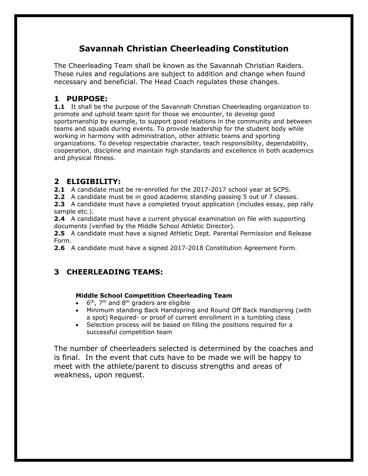### **Savannah Christian Cheerleading Constitution**

The Cheerleading Team shall be known as the Savannah Christian Raiders. These rules and regulations are subject to addition and change when found necessary and beneficial. The Head Coach regulates these changes.

#### **1 PURPOSE:**

**1.1** It shall be the purpose of the Savannah Christian Cheerleading organization to promote and uphold team spirit for those we encounter, to develop good sportsmanship by example, to support good relations in the community and between teams and squads during events. To provide leadership for the student body while working in harmony with administration, other athletic teams and sporting organizations. To develop respectable character, teach responsibility, dependability, cooperation, discipline and maintain high standards and excellence in both academics and physical fitness.

#### **2 ELIGIBILITY:**

**2.1** A candidate must be re-enrolled for the 2017-2017 school year at SCPS.

**2.2** A candidate must be in good academic standing passing 5 out of 7 classes.

**2.3** A candidate must have a completed tryout application (includes essay, pep rally sample etc.).

**2.4** A candidate must have a current physical examination on file with supporting documents (verified by the Middle School Athletic Director).

**2.5** A candidate must have a signed Athletic Dept. Parental Permission and Release Form.

**2.6** A candidate must have a signed 2017-2018 Constitution Agreement Form.

### **3 CHEERLEADING TEAMS:**

#### **Middle School Competition Cheerleading Team**

- $\bullet$  6<sup>th</sup>, 7<sup>th</sup> and 8<sup>th</sup> graders are eligible
- Minimum standing Back Handspring and Round Off Back Handspring (with a spot) Required- or proof of current enrollment in a tumbling class
- Selection process will be based on filling the positions required for a successful competition team

The number of cheerleaders selected is determined by the coaches and is final. In the event that cuts have to be made we will be happy to meet with the athlete/parent to discuss strengths and areas of weakness, upon request.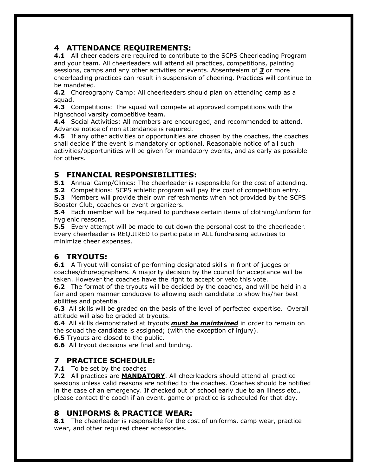#### **4 ATTENDANCE REQUIREMENTS:**

**4.1** All cheerleaders are required to contribute to the SCPS Cheerleading Program and your team. All cheerleaders will attend all practices, competitions, painting sessions, camps and any other activities or events. Absenteeism of *3* or more cheerleading practices can result in suspension of cheering. Practices will continue to be mandated.

**4.2** Choreography Camp: All cheerleaders should plan on attending camp as a squad.

**4.3** Competitions: The squad will compete at approved competitions with the highschool varsity competitive team.

**4.4** Social Activities: All members are encouraged, and recommended to attend. Advance notice of non attendance is required.

**4.5** If any other activities or opportunities are chosen by the coaches, the coaches shall decide if the event is mandatory or optional. Reasonable notice of all such activities/opportunities will be given for mandatory events, and as early as possible for others.

#### **5 FINANCIAL RESPONSIBILITIES:**

**5.1** Annual Camp/Clinics: The cheerleader is responsible for the cost of attending.

**5.2** Competitions: SCPS athletic program will pay the cost of competition entry.

**5.3** Members will provide their own refreshments when not provided by the SCPS Booster Club, coaches or event organizers.

**5.4** Each member will be required to purchase certain items of clothing/uniform for hygienic reasons.

**5.5** Every attempt will be made to cut down the personal cost to the cheerleader. Every cheerleader is REQUIRED to participate in ALL fundraising activities to minimize cheer expenses.

#### **6 TRYOUTS:**

**6.1** A Tryout will consist of performing designated skills in front of judges or coaches/choreographers. A majority decision by the council for acceptance will be taken. However the coaches have the right to accept or veto this vote.

**6.2** The format of the tryouts will be decided by the coaches, and will be held in a fair and open manner conducive to allowing each candidate to show his/her best abilities and potential.

**6.3** All skills will be graded on the basis of the level of perfected expertise. Overall attitude will also be graded at tryouts.

**6.4** All skills demonstrated at tryouts *must be maintained* in order to remain on the squad the candidate is assigned; (with the exception of injury).

**6.5** Tryouts are closed to the public.

**6.6** All tryout decisions are final and binding.

#### **7 PRACTICE SCHEDULE:**

**7.1** To be set by the coaches

**7.2** All practices are **MANDATORY**. All cheerleaders should attend all practice sessions unless valid reasons are notified to the coaches. Coaches should be notified in the case of an emergency. If checked out of school early due to an illness etc., please contact the coach if an event, game or practice is scheduled for that day.

#### **8 UNIFORMS & PRACTICE WEAR:**

**8.1** The cheerleader is responsible for the cost of uniforms, camp wear, practice wear, and other required cheer accessories.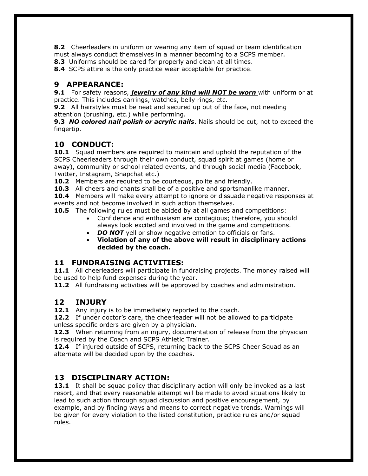**8.2** Cheerleaders in uniform or wearing any item of squad or team identification must always conduct themselves in a manner becoming to a SCPS member.

**8.3** Uniforms should be cared for properly and clean at all times.

**8.4** SCPS attire is the only practice wear acceptable for practice.

#### **9 APPEARANCE:**

**9.1** For safety reasons, *jewelry of any kind will NOT be worn* with uniform or at practice. This includes earrings, watches, belly rings, etc.

**9.2** All hairstyles must be neat and secured up out of the face, not needing attention (brushing, etc.) while performing.

**9.3** *NO colored nail polish or acrylic nails*. Nails should be cut, not to exceed the fingertip.

#### **10 CONDUCT:**

**10.1** Squad members are required to maintain and uphold the reputation of the SCPS Cheerleaders through their own conduct, squad spirit at games (home or away), community or school related events, and through social media (Facebook, Twitter, Instagram, Snapchat etc.)

**10.2** Members are required to be courteous, polite and friendly.

**10.3** All cheers and chants shall be of a positive and sportsmanlike manner.

**10.4** Members will make every attempt to ignore or dissuade negative responses at events and not become involved in such action themselves.

**10.5** The following rules must be abided by at all games and competitions:

- Confidence and enthusiasm are contagious; therefore, you should always look excited and involved in the game and competitions.
- **DO NOT** yell or show negative emotion to officials or fans.
- **Violation of any of the above will result in disciplinary actions decided by the coach.**

#### **11 FUNDRAISING ACTIVITIES:**

11.1 All cheerleaders will participate in fundraising projects. The money raised will be used to help fund expenses during the year.

**11.2** All fundraising activities will be approved by coaches and administration.

#### **12 INJURY**

12.1 Any injury is to be immediately reported to the coach.

**12.2** If under doctor's care, the cheerleader will not be allowed to participate unless specific orders are given by a physician.

**12.3** When returning from an injury, documentation of release from the physician is required by the Coach and SCPS Athletic Trainer.

**12.4** If injured outside of SCPS, returning back to the SCPS Cheer Squad as an alternate will be decided upon by the coaches.

#### **13 DISCIPLINARY ACTION:**

**13.1** It shall be squad policy that disciplinary action will only be invoked as a last resort, and that every reasonable attempt will be made to avoid situations likely to lead to such action through squad discussion and positive encouragement, by example, and by finding ways and means to correct negative trends. Warnings will be given for every violation to the listed constitution, practice rules and/or squad rules.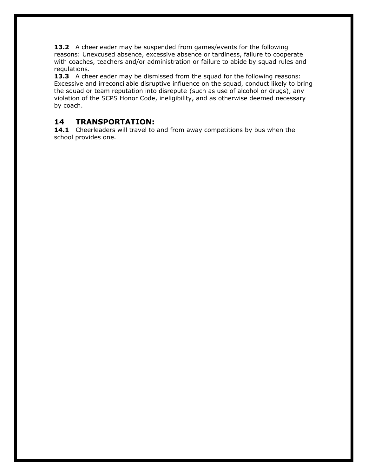**13.2** A cheerleader may be suspended from games/events for the following reasons: Unexcused absence, excessive absence or tardiness, failure to cooperate with coaches, teachers and/or administration or failure to abide by squad rules and regulations.

**13.3** A cheerleader may be dismissed from the squad for the following reasons: Excessive and irreconcilable disruptive influence on the squad, conduct likely to bring the squad or team reputation into disrepute (such as use of alcohol or drugs), any violation of the SCPS Honor Code, ineligibility, and as otherwise deemed necessary by coach.

#### **14 TRANSPORTATION:**

**14.1** Cheerleaders will travel to and from away competitions by bus when the school provides one.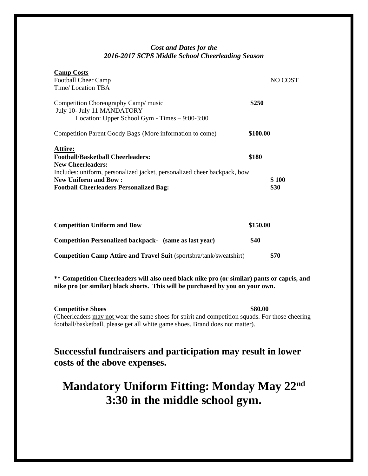#### *Cost and Dates for the 2016-2017 SCPS Middle School Cheerleading Season*

| <b>Camp Costs</b><br><b>Football Cheer Camp</b><br>Time/Location TBA                                                                                                                                                                         | NO COST                |
|----------------------------------------------------------------------------------------------------------------------------------------------------------------------------------------------------------------------------------------------|------------------------|
| Competition Choreography Camp/ music<br>July 10- July 11 MANDATORY<br>Location: Upper School Gym - Times $-9:00-3:00$                                                                                                                        | \$250                  |
| Competition Parent Goody Bags (More information to come)                                                                                                                                                                                     | \$100.00               |
| Attire:<br><b>Football/Basketball Cheerleaders:</b><br><b>New Cheerleaders:</b><br>Includes: uniform, personalized jacket, personalized cheer backpack, bow<br><b>New Uniform and Bow:</b><br><b>Football Cheerleaders Personalized Bag:</b> | \$180<br>\$100<br>\$30 |
| <b>Competition Uniform and Bow</b>                                                                                                                                                                                                           | \$150.00               |
| <b>Competition Personalized backpack-</b> (same as last year)                                                                                                                                                                                | \$40                   |
| <b>Competition Camp Attire and Travel Suit (sportsbra/tank/sweatshirt)</b>                                                                                                                                                                   | \$70                   |

**\*\* Competition Cheerleaders will also need black nike pro (or similar) pants or capris, and nike pro (or similar) black shorts. This will be purchased by you on your own.** 

**Competitive Shoes** \$80.00 (Cheerleaders may not wear the same shoes for spirit and competition squads. For those cheering football/basketball, please get all white game shoes. Brand does not matter).

### **Successful fundraisers and participation may result in lower costs of the above expenses.**

## **Mandatory Uniform Fitting: Monday May 22nd 3:30 in the middle school gym.**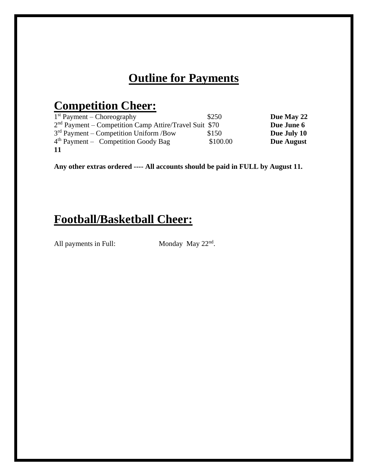# **Outline for Payments**

# **Competition Cheer:**

| $1st$ Payment – Choreography                             | \$250      | Due May 22  |
|----------------------------------------------------------|------------|-------------|
| $2nd$ Payment – Competition Camp Attire/Travel Suit \$70 | Due June 6 |             |
| $3rd$ Payment – Competition Uniform /Bow                 | \$150      | Due July 10 |
| $4th$ Payment – Competition Goody Bag                    | \$100.00   | Due August  |
| -11                                                      |            |             |

**Any other extras ordered ---- All accounts should be paid in FULL by August 11.**

### **Football/Basketball Cheer:**

All payments in Full:

Monday May 22<sup>nd</sup>.